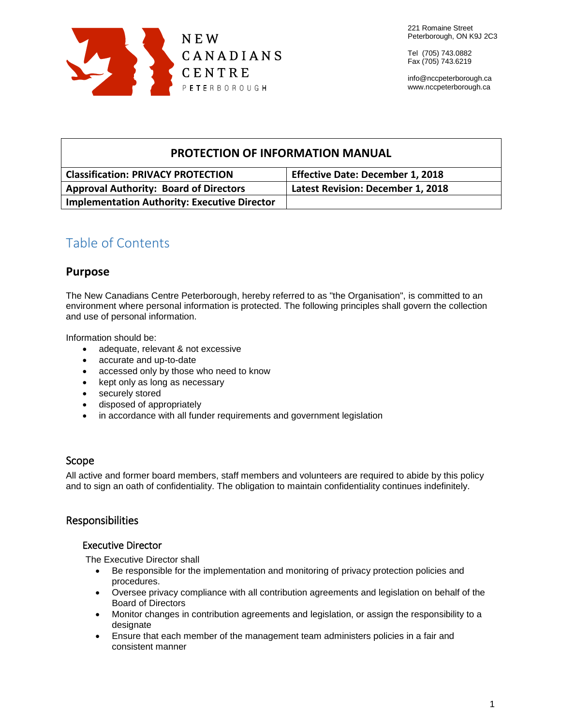

Tel (705) 743.0882 Fax (705) 743.6219

info@nccpeterborough.ca www.nccpeterborough.ca

## **PROTECTION OF INFORMATION MANUAL**

| <b>Classification: PRIVACY PROTECTION</b>           | <b>Effective Date: December 1, 2018</b> |
|-----------------------------------------------------|-----------------------------------------|
| <b>Approval Authority: Board of Directors</b>       | Latest Revision: December 1, 2018       |
| <b>Implementation Authority: Executive Director</b> |                                         |

# Table of Contents

## **Purpose**

The New Canadians Centre Peterborough, hereby referred to as "the Organisation", is committed to an environment where personal information is protected. The following principles shall govern the collection and use of personal information.

Information should be:

- adequate, relevant & not excessive
- accurate and up-to-date
- accessed only by those who need to know
- kept only as long as necessary
- securely stored
- disposed of appropriately
- in accordance with all funder requirements and government legislation

## Scope

All active and former board members, staff members and volunteers are required to abide by this policy and to sign an oath of confidentiality. The obligation to maintain confidentiality continues indefinitely.

## Responsibilities

## Executive Director

The Executive Director shall

- Be responsible for the implementation and monitoring of privacy protection policies and procedures.
- Oversee privacy compliance with all contribution agreements and legislation on behalf of the Board of Directors
- Monitor changes in contribution agreements and legislation, or assign the responsibility to a designate
- Ensure that each member of the management team administers policies in a fair and consistent manner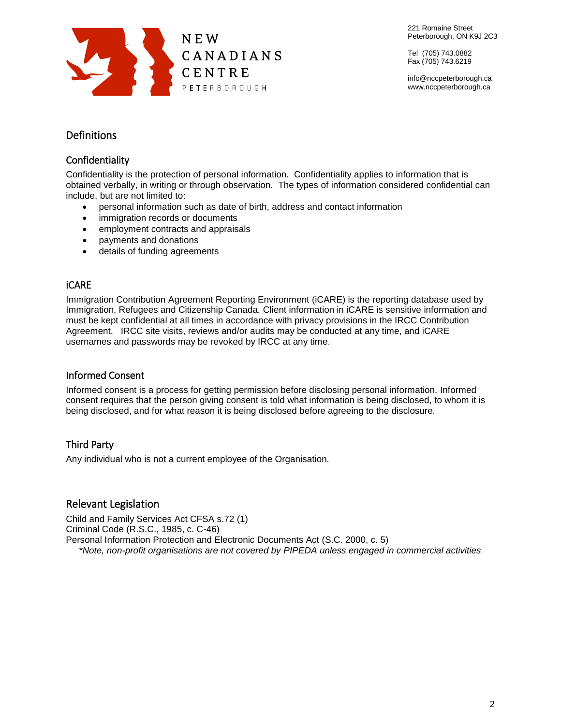

Tel (705) 743.0882 Fax (705) 743.6219

info@nccpeterborough.ca www.nccpeterborough.ca

## **Definitions**

## Confidentiality

Confidentiality is the protection of personal information. Confidentiality applies to information that is obtained verbally, in writing or through observation. The types of information considered confidential can include, but are not limited to:

- personal information such as date of birth, address and contact information
- immigration records or documents
- employment contracts and appraisals
- payments and donations
- details of funding agreements

## iCARE

Immigration Contribution Agreement Reporting Environment (iCARE) is the reporting database used by Immigration, Refugees and Citizenship Canada. Client information in iCARE is sensitive information and must be kept confidential at all times in accordance with privacy provisions in the IRCC Contribution Agreement. IRCC site visits, reviews and/or audits may be conducted at any time, and iCARE usernames and passwords may be revoked by IRCC at any time.

## Informed Consent

Informed consent is a process for getting permission before disclosing personal information. Informed consent requires that the person giving consent is told what information is being disclosed, to whom it is being disclosed, and for what reason it is being disclosed before agreeing to the disclosure.

## Third Party

Any individual who is not a current employee of the Organisation.

## Relevant Legislation

Child and Family Services Act CFSA s.72 (1) Criminal Code (R.S.C., 1985, c. C-46) Personal Information Protection and Electronic Documents Act (S.C. 2000, c. 5) *\*Note, non-profit organisations are not covered by PIPEDA unless engaged in commercial activities*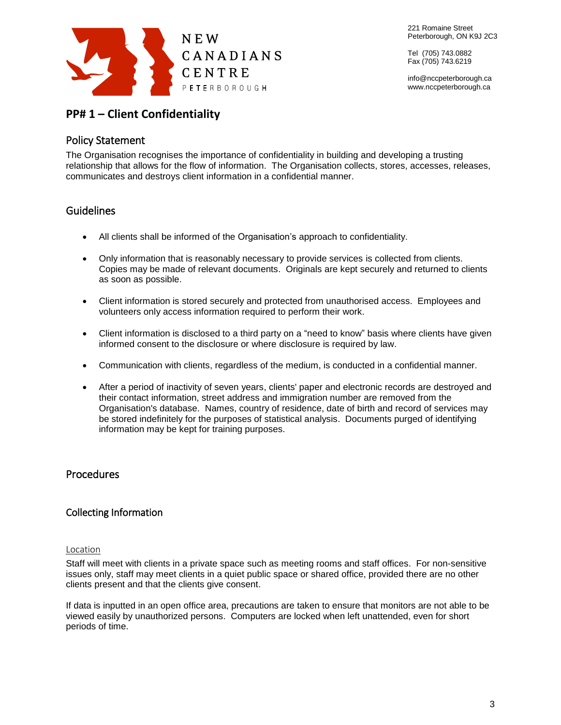

Tel (705) 743.0882 Fax (705) 743.6219

info@nccpeterborough.ca www.nccpeterborough.ca

## **PP# 1 – Client Confidentiality**

## Policy Statement

The Organisation recognises the importance of confidentiality in building and developing a trusting relationship that allows for the flow of information. The Organisation collects, stores, accesses, releases, communicates and destroys client information in a confidential manner.

## **Guidelines**

- All clients shall be informed of the Organisation's approach to confidentiality.
- Only information that is reasonably necessary to provide services is collected from clients. Copies may be made of relevant documents. Originals are kept securely and returned to clients as soon as possible.
- Client information is stored securely and protected from unauthorised access. Employees and volunteers only access information required to perform their work.
- Client information is disclosed to a third party on a "need to know" basis where clients have given informed consent to the disclosure or where disclosure is required by law.
- Communication with clients, regardless of the medium, is conducted in a confidential manner.
- After a period of inactivity of seven years, clients' paper and electronic records are destroyed and their contact information, street address and immigration number are removed from the Organisation's database. Names, country of residence, date of birth and record of services may be stored indefinitely for the purposes of statistical analysis. Documents purged of identifying information may be kept for training purposes.

## Procedures

## Collecting Information

#### Location

Staff will meet with clients in a private space such as meeting rooms and staff offices. For non-sensitive issues only, staff may meet clients in a quiet public space or shared office, provided there are no other clients present and that the clients give consent.

If data is inputted in an open office area, precautions are taken to ensure that monitors are not able to be viewed easily by unauthorized persons. Computers are locked when left unattended, even for short periods of time.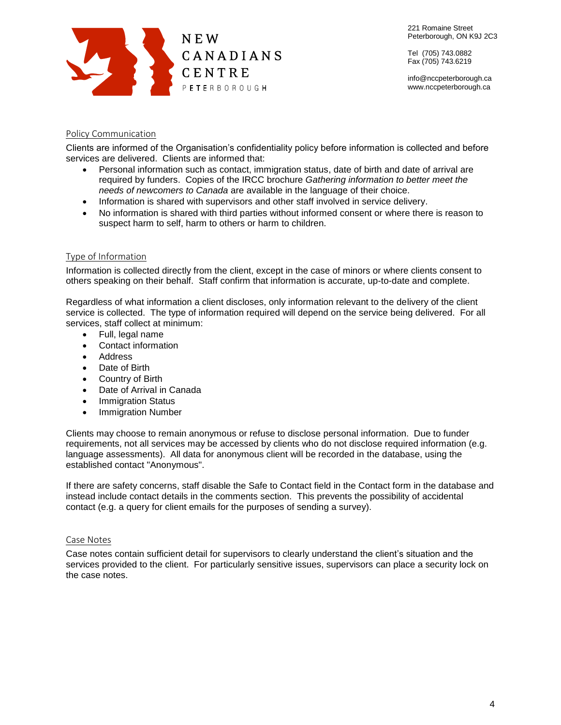

Tel (705) 743.0882 Fax (705) 743.6219

info@nccpeterborough.ca www.nccpeterborough.ca

### Policy Communication

Clients are informed of the Organisation's confidentiality policy before information is collected and before services are delivered. Clients are informed that:

- Personal information such as contact, immigration status, date of birth and date of arrival are required by funders. Copies of the IRCC brochure *Gathering information to better meet the needs of newcomers to Canada* are available in the language of their choice.
- Information is shared with supervisors and other staff involved in service delivery.
- No information is shared with third parties without informed consent or where there is reason to suspect harm to self, harm to others or harm to children.

### Type of Information

Information is collected directly from the client, except in the case of minors or where clients consent to others speaking on their behalf. Staff confirm that information is accurate, up-to-date and complete.

Regardless of what information a client discloses, only information relevant to the delivery of the client service is collected. The type of information required will depend on the service being delivered. For all services, staff collect at minimum:

- Full, legal name
- Contact information
- Address
- Date of Birth
- Country of Birth
- Date of Arrival in Canada
- Immigration Status
- Immigration Number

Clients may choose to remain anonymous or refuse to disclose personal information. Due to funder requirements, not all services may be accessed by clients who do not disclose required information (e.g. language assessments). All data for anonymous client will be recorded in the database, using the established contact "Anonymous".

If there are safety concerns, staff disable the Safe to Contact field in the Contact form in the database and instead include contact details in the comments section. This prevents the possibility of accidental contact (e.g. a query for client emails for the purposes of sending a survey).

#### Case Notes

Case notes contain sufficient detail for supervisors to clearly understand the client's situation and the services provided to the client. For particularly sensitive issues, supervisors can place a security lock on the case notes.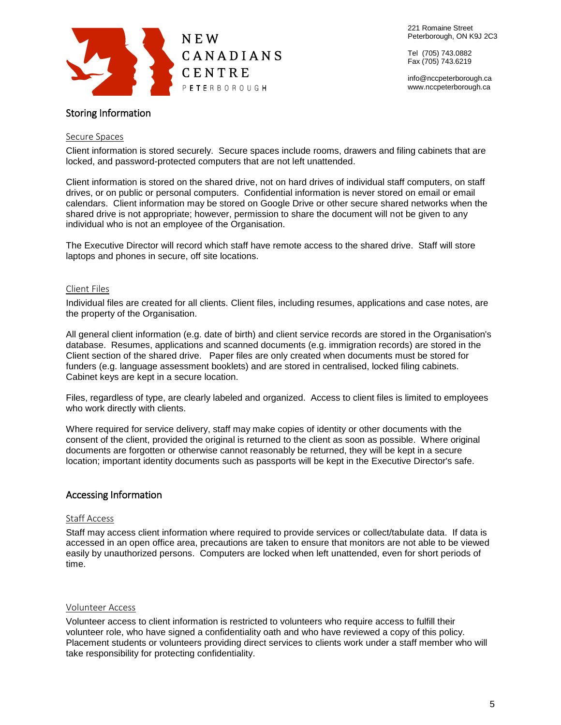

Tel (705) 743.0882 Fax (705) 743.6219

info@nccpeterborough.ca www.nccpeterborough.ca

## Storing Information

#### Secure Spaces

Client information is stored securely. Secure spaces include rooms, drawers and filing cabinets that are locked, and password-protected computers that are not left unattended.

Client information is stored on the shared drive, not on hard drives of individual staff computers, on staff drives, or on public or personal computers. Confidential information is never stored on email or email calendars. Client information may be stored on Google Drive or other secure shared networks when the shared drive is not appropriate; however, permission to share the document will not be given to any individual who is not an employee of the Organisation.

The Executive Director will record which staff have remote access to the shared drive. Staff will store laptops and phones in secure, off site locations.

#### Client Files

Individual files are created for all clients. Client files, including resumes, applications and case notes, are the property of the Organisation.

All general client information (e.g. date of birth) and client service records are stored in the Organisation's database. Resumes, applications and scanned documents (e.g. immigration records) are stored in the Client section of the shared drive. Paper files are only created when documents must be stored for funders (e.g. language assessment booklets) and are stored in centralised, locked filing cabinets. Cabinet keys are kept in a secure location.

Files, regardless of type, are clearly labeled and organized. Access to client files is limited to employees who work directly with clients.

Where required for service delivery, staff may make copies of identity or other documents with the consent of the client, provided the original is returned to the client as soon as possible. Where original documents are forgotten or otherwise cannot reasonably be returned, they will be kept in a secure location; important identity documents such as passports will be kept in the Executive Director's safe.

### Accessing Information

#### Staff Access

Staff may access client information where required to provide services or collect/tabulate data. If data is accessed in an open office area, precautions are taken to ensure that monitors are not able to be viewed easily by unauthorized persons. Computers are locked when left unattended, even for short periods of time.

#### Volunteer Access

Volunteer access to client information is restricted to volunteers who require access to fulfill their volunteer role, who have signed a confidentiality oath and who have reviewed a copy of this policy. Placement students or volunteers providing direct services to clients work under a staff member who will take responsibility for protecting confidentiality.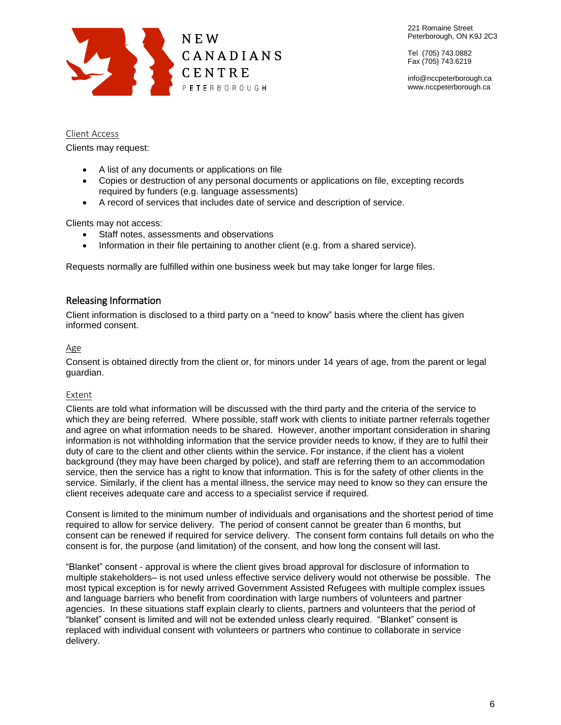

Tel (705) 743.0882 Fax (705) 743.6219

info@nccpeterborough.ca www.nccpeterborough.ca

Client Access

Clients may request:

- A list of any documents or applications on file
- Copies or destruction of any personal documents or applications on file, excepting records required by funders (e.g. language assessments)
- A record of services that includes date of service and description of service.

Clients may not access:

- Staff notes, assessments and observations
- Information in their file pertaining to another client (e.g. from a shared service).

Requests normally are fulfilled within one business week but may take longer for large files.

### Releasing Information

Client information is disclosed to a third party on a "need to know" basis where the client has given informed consent.

#### Age

Consent is obtained directly from the client or, for minors under 14 years of age, from the parent or legal guardian.

#### Extent

Clients are told what information will be discussed with the third party and the criteria of the service to which they are being referred. Where possible, staff work with clients to initiate partner referrals together and agree on what information needs to be shared. However, another important consideration in sharing information is not withholding information that the service provider needs to know, if they are to fulfil their duty of care to the client and other clients within the service. For instance, if the client has a violent background (they may have been charged by police), and staff are referring them to an accommodation service, then the service has a right to know that information. This is for the safety of other clients in the service. Similarly, if the client has a mental illness, the service may need to know so they can ensure the client receives adequate care and access to a specialist service if required.

Consent is limited to the minimum number of individuals and organisations and the shortest period of time required to allow for service delivery. The period of consent cannot be greater than 6 months, but consent can be renewed if required for service delivery. The consent form contains full details on who the consent is for, the purpose (and limitation) of the consent, and how long the consent will last.

"Blanket" consent - approval is where the client gives broad approval for disclosure of information to multiple stakeholders– is not used unless effective service delivery would not otherwise be possible. The most typical exception is for newly arrived Government Assisted Refugees with multiple complex issues and language barriers who benefit from coordination with large numbers of volunteers and partner agencies. In these situations staff explain clearly to clients, partners and volunteers that the period of "blanket" consent is limited and will not be extended unless clearly required. "Blanket" consent is replaced with individual consent with volunteers or partners who continue to collaborate in service delivery.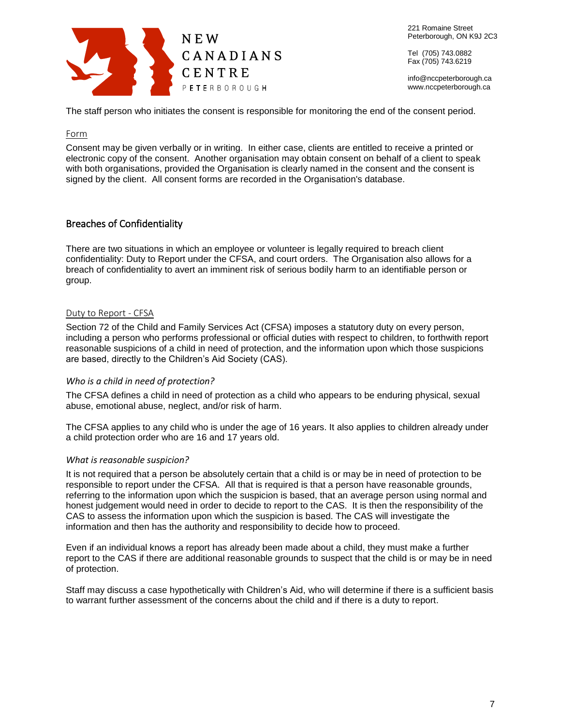

Tel (705) 743.0882 Fax (705) 743.6219

info@nccpeterborough.ca www.nccpeterborough.ca

The staff person who initiates the consent is responsible for monitoring the end of the consent period.

#### Form

Consent may be given verbally or in writing. In either case, clients are entitled to receive a printed or electronic copy of the consent. Another organisation may obtain consent on behalf of a client to speak with both organisations, provided the Organisation is clearly named in the consent and the consent is signed by the client. All consent forms are recorded in the Organisation's database.

## Breaches of Confidentiality

There are two situations in which an employee or volunteer is legally required to breach client confidentiality: Duty to Report under the CFSA, and court orders. The Organisation also allows for a breach of confidentiality to avert an imminent risk of serious bodily harm to an identifiable person or group.

#### Duty to Report - CFSA

Section 72 of the Child and Family Services Act (CFSA) imposes a statutory duty on every person, including a person who performs professional or official duties with respect to children, to forthwith report reasonable suspicions of a child in need of protection, and the information upon which those suspicions are based, directly to the Children's Aid Society (CAS).

#### *Who is a child in need of protection?*

The CFSA defines a child in need of protection as a child who appears to be enduring physical, sexual abuse, emotional abuse, neglect, and/or risk of harm.

The CFSA applies to any child who is under the age of 16 years. It also applies to children already under a child protection order who are 16 and 17 years old.

#### *What is reasonable suspicion?*

It is not required that a person be absolutely certain that a child is or may be in need of protection to be responsible to report under the CFSA. All that is required is that a person have reasonable grounds, referring to the information upon which the suspicion is based, that an average person using normal and honest judgement would need in order to decide to report to the CAS. It is then the responsibility of the CAS to assess the information upon which the suspicion is based. The CAS will investigate the information and then has the authority and responsibility to decide how to proceed.

Even if an individual knows a report has already been made about a child, they must make a further report to the CAS if there are additional reasonable grounds to suspect that the child is or may be in need of protection.

Staff may discuss a case hypothetically with Children's Aid, who will determine if there is a sufficient basis to warrant further assessment of the concerns about the child and if there is a duty to report.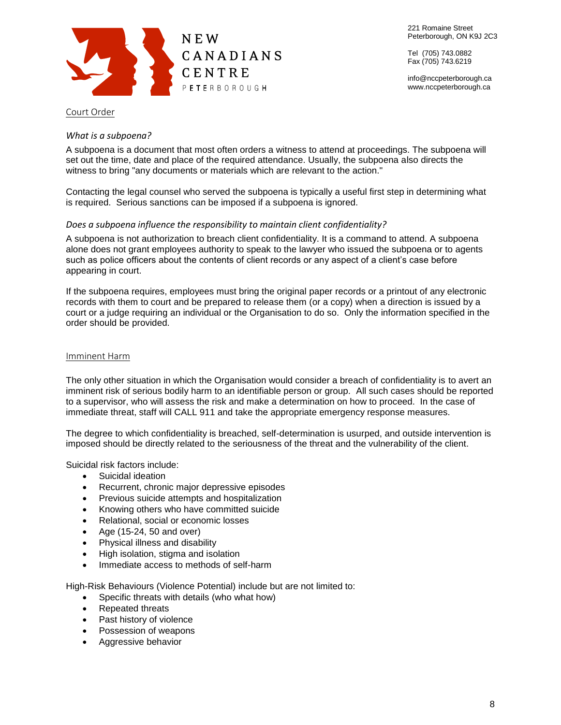

Tel (705) 743.0882 Fax (705) 743.6219

info@nccpeterborough.ca www.nccpeterborough.ca

#### Court Order

#### *What is a subpoena?*

A subpoena is a document that most often orders a witness to attend at proceedings. The subpoena will set out the time, date and place of the required attendance. Usually, the subpoena also directs the witness to bring "any documents or materials which are relevant to the action."

Contacting the legal counsel who served the subpoena is typically a useful first step in determining what is required. Serious sanctions can be imposed if a subpoena is ignored.

#### *Does a subpoena influence the responsibility to maintain client confidentiality?*

A subpoena is not authorization to breach client confidentiality. It is a command to attend. A subpoena alone does not grant employees authority to speak to the lawyer who issued the subpoena or to agents such as police officers about the contents of client records or any aspect of a client's case before appearing in court.

If the subpoena requires, employees must bring the original paper records or a printout of any electronic records with them to court and be prepared to release them (or a copy) when a direction is issued by a court or a judge requiring an individual or the Organisation to do so. Only the information specified in the order should be provided.

#### Imminent Harm

The only other situation in which the Organisation would consider a breach of confidentiality is to avert an imminent risk of serious bodily harm to an identifiable person or group. All such cases should be reported to a supervisor, who will assess the risk and make a determination on how to proceed. In the case of immediate threat, staff will CALL 911 and take the appropriate emergency response measures.

The degree to which confidentiality is breached, self-determination is usurped, and outside intervention is imposed should be directly related to the seriousness of the threat and the vulnerability of the client.

Suicidal risk factors include:

- Suicidal ideation
- Recurrent, chronic major depressive episodes
- **•** Previous suicide attempts and hospitalization
- Knowing others who have committed suicide
- Relational, social or economic losses
- Age  $(15-24, 50, \text{and over})$
- Physical illness and disability
- High isolation, stigma and isolation
- Immediate access to methods of self-harm

High-Risk Behaviours (Violence Potential) include but are not limited to:

- Specific threats with details (who what how)
- Repeated threats
- Past history of violence
- Possession of weapons
- Aggressive behavior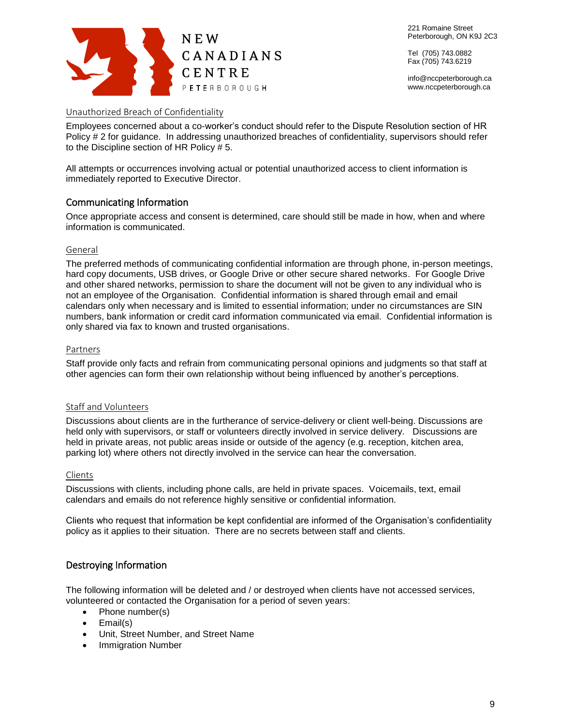

Tel (705) 743.0882 Fax (705) 743.6219

info@nccpeterborough.ca www.nccpeterborough.ca

### Unauthorized Breach of Confidentiality

Employees concerned about a co-worker's conduct should refer to the Dispute Resolution section of HR Policy # 2 for guidance. In addressing unauthorized breaches of confidentiality, supervisors should refer to the Discipline section of HR Policy # 5.

All attempts or occurrences involving actual or potential unauthorized access to client information is immediately reported to Executive Director.

## Communicating Information

Once appropriate access and consent is determined, care should still be made in how, when and where information is communicated.

### General

The preferred methods of communicating confidential information are through phone, in-person meetings, hard copy documents, USB drives, or Google Drive or other secure shared networks. For Google Drive and other shared networks, permission to share the document will not be given to any individual who is not an employee of the Organisation. Confidential information is shared through email and email calendars only when necessary and is limited to essential information; under no circumstances are SIN numbers, bank information or credit card information communicated via email. Confidential information is only shared via fax to known and trusted organisations.

#### Partners

Staff provide only facts and refrain from communicating personal opinions and judgments so that staff at other agencies can form their own relationship without being influenced by another's perceptions.

### Staff and Volunteers

Discussions about clients are in the furtherance of service-delivery or client well-being. Discussions are held only with supervisors, or staff or volunteers directly involved in service delivery. Discussions are held in private areas, not public areas inside or outside of the agency (e.g. reception, kitchen area, parking lot) where others not directly involved in the service can hear the conversation.

#### Clients

Discussions with clients, including phone calls, are held in private spaces. Voicemails, text, email calendars and emails do not reference highly sensitive or confidential information.

Clients who request that information be kept confidential are informed of the Organisation's confidentiality policy as it applies to their situation. There are no secrets between staff and clients.

## Destroying Information

The following information will be deleted and / or destroyed when clients have not accessed services, volunteered or contacted the Organisation for a period of seven years:

- Phone number(s)
- Email(s)
- Unit, Street Number, and Street Name
- Immigration Number